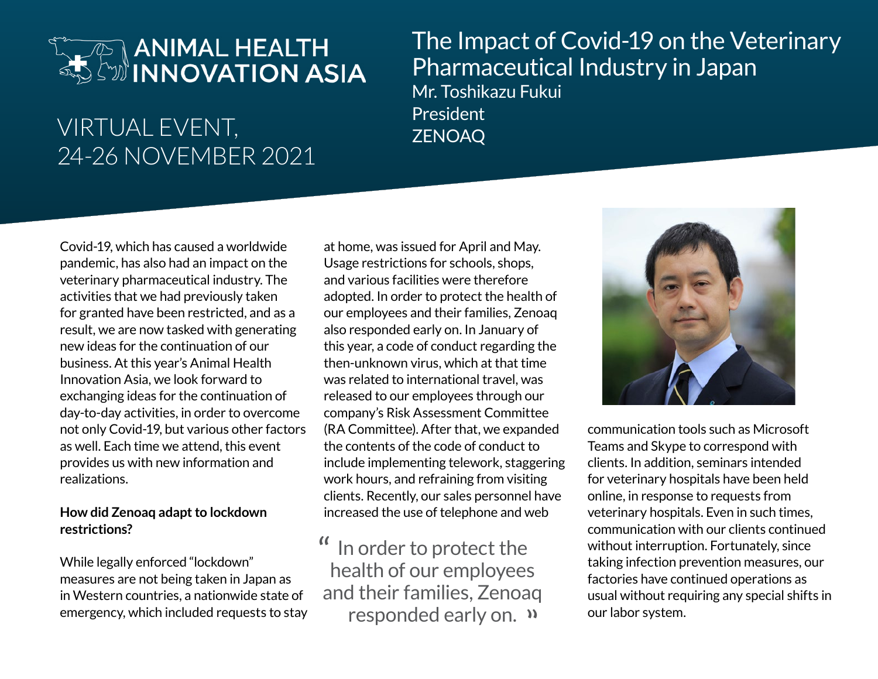# **ANIMAL HEALTH** SAN ANIMAL HEALTH

### VIRTUAL EVENT, THE President President 24-26 NOVEMBER 2021

## The Impact of Covid-19 on the Veterinary Pharmaceutical Industry in Japan Mr. Toshikazu Fukui

Covid-19, which has caused a worldwide pandemic, has also had an impact on the veterinary pharmaceutical industry. The activities that we had previously taken for granted have been restricted, and as a result, we are now tasked with generating new ideas for the continuation of our business. At this year's Animal Health Innovation Asia, we look forward to exchanging ideas for the continuation of day-to-day activities, in order to overcome not only Covid-19, but various other factors as well. Each time we attend, this event provides us with new information and realizations.

#### **How did Zenoaq adapt to lockdown restrictions?**

While legally enforced "lockdown" measures are not being taken in Japan as in Western countries, a nationwide state of emergency, which included requests to stay

at home, was issued for April and May. Usage restrictions for schools, shops, and various facilities were therefore adopted. In order to protect the health of our employees and their families, Zenoaq also responded early on. In January of this year, a code of conduct regarding the then-unknown virus, which at that time was related to international travel, was released to our employees through our company's Risk Assessment Committee (RA Committee). After that, we expanded the contents of the code of conduct to include implementing telework, staggering work hours, and refraining from visiting clients. Recently, our sales personnel have increased the use of telephone and web

In order to protect the health of our employees and their families, Zenoaq responded early on. " $\alpha$ 



communication tools such as Microsoft Teams and Skype to correspond with clients. In addition, seminars intended for veterinary hospitals have been held online, in response to requests from veterinary hospitals. Even in such times, communication with our clients continued without interruption. Fortunately, since taking infection prevention measures, our factories have continued operations as usual without requiring any special shifts in our labor system.